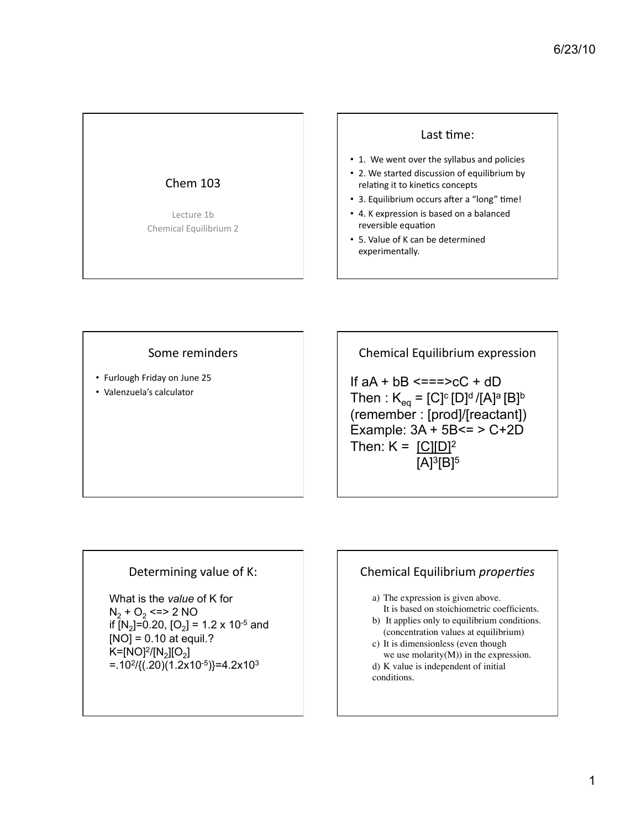# Chem  $103$

Lecture 1b Chemical Equilibrium 2

#### Last time:

- 1. We went over the syllabus and policies
- 2. We started discussion of equilibrium by relating it to kinetics concepts
- 3. Equilibrium occurs after a "long" time!
- 4. K expression is based on a balanced reversible equation
- 5. Value of K can be determined experimentally.

#### Some reminders

- Furlough Friday on June 25
- Valenzuela's calculator

Chemical Equilibrium expression

If  $aA + bB \leq x = x + cC + dD$ Then :  $K_{eq} = [C]^{c} [D]^{d} / [A]^{a} [B]^{b}$ (remember : [prod]/[reactant]) Example: 3A + 5B<= > C+2D Then:  $K = [C][D]^2$  $[A]$ <sup>3</sup> $[B]$ <sup>5</sup>

## Determining value of K:

What is the *value* of K for  $N_2 + O_2 \leq 2 NO$ if  $[N_2] = 0.20$ ,  $[O_2] = 1.2 \times 10^{-5}$  and  $[NO] = 0.10$  at equil.?  $K=[NO]^2/[N_2][O_2]$  $=$ .10<sup>2</sup>/{(.20)(1.2x10<sup>-5</sup>)}=4.2x10<sup>3</sup>

# Chemical Equilibrium *properties*

a) The expression is given above. It is based on stoichiometric coefficients.

- b) It applies only to equilibrium conditions. (concentration values at equilibrium)
- c) It is dimensionless (even though we use molarity $(M)$ ) in the expression.

d) K value is independent of initial conditions.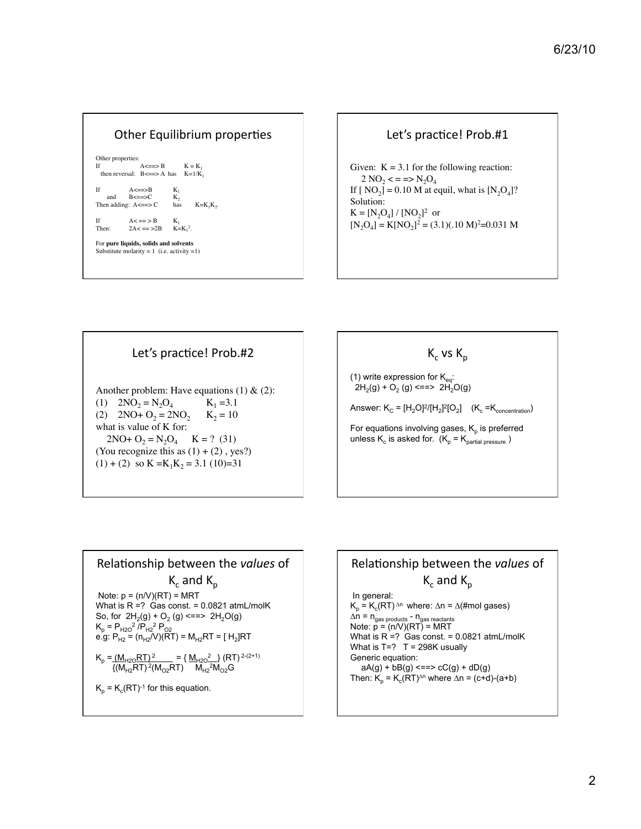| Other Equilibrium properties       |                                                                                                       |                             |
|------------------------------------|-------------------------------------------------------------------------------------------------------|-----------------------------|
| Other properties:<br>$\mathbf{If}$ | then reversal: $B \leq x \leq A$ has $K = 1/K_1$                                                      | $A \leq x \leq B$ $K = K_1$ |
| Ιf                                 | $A \leq x \leq B$ $K_1$<br>and $B \leq x \leq C$ K <sub>2</sub><br>Then adding: $A \leq z \leq C$ has | $K=K_1K_2$ .                |
| Then:                              | If $A \leq x \leq B$ $K_1$<br>$2A < = > 2B$ $K = K12$ .                                               |                             |
|                                    | For pure liquids, solids and solvents<br>Substitute molarity = 1 (i.e. activity = 1)                  |                             |



Solution:  $K = [N_2O_4] / [NO_2]^2$  or  $[N_2O_4] = K[NO_2]^2 = (3.1)(.10 \text{ M})^2 = 0.031 \text{ M}$ 





(1) write expression for  $\mathsf{K}_{\mathsf{eq}}$ :  $2H_2(g) + O_2(g) \leq 2H_2O(g)$ 

Answer:  $K_c = [H_2O]^2/[H_2]^2[O_2]$   $(K_c = K_{concentration})$ 

For equations involving gases,  $K_p$  is preferred unless  $K_c$  is asked for.  $(K_p = K_{partial\|0\text{ versus }p\text{)}}$ 



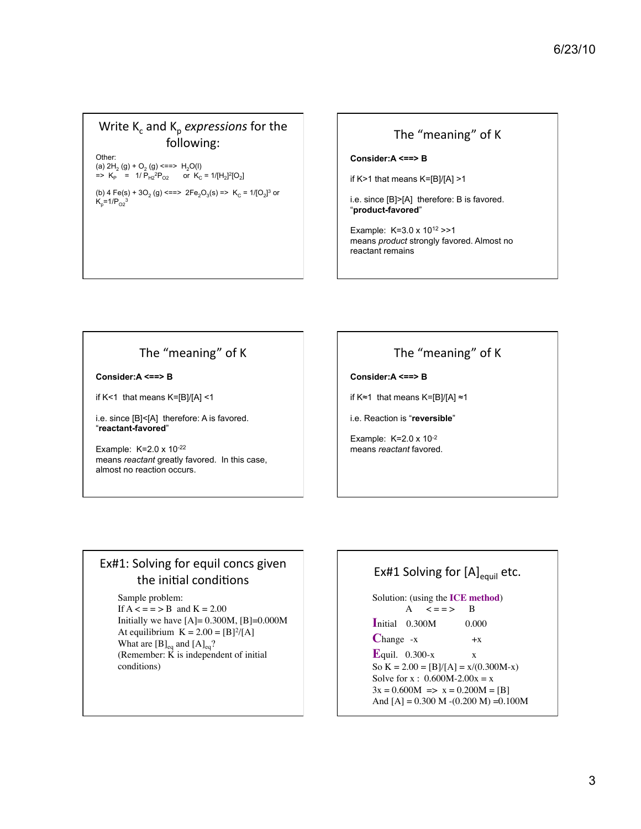## Write K<sub>c</sub> and K<sub>p</sub> *expressions* for the following:

Other: (a)  $2H_2(g) + O_2(g) \leq 2L$   $H_2O(l)$  $=$   $\times$  K<sub>P</sub>  $=$  1/ P<sub>H2</sub><sup>2</sup>P<sub>O2</sub> or K<sub>C</sub>  $=$  1/[H<sub>2</sub>]<sup>2</sup>[O<sub>2</sub>]

(b) 4 Fe(s) + 3O<sub>2</sub> (g) <==>  $2Fe<sub>2</sub>O<sub>3</sub>(s)$  =>  $K<sub>C</sub>$  = 1/[O<sub>2</sub>]<sup>3</sup> or  $K_p = 1/P_{O2}^3$ 

#### The "meaning" of K

#### **Consider:A <==> B**

if K>1 that means K=[B]/[A] >1

i.e. since [B]>[A] therefore: B is favored. "**product-favored**"

Example: K=3.0 x 1012 >>1 means *product* strongly favored. Almost no reactant remains

## The "meaning" of K

**Consider:A <==> B** 

if K<1 that means K=[B]/[A] <1

i.e. since [B]<[A] therefore: A is favored. "**reactant-favored**"

Example: K=2.0 x 10-22 means *reactant* greatly favored. In this case, almost no reaction occurs.

# The "meaning" of K

**Consider:A <==> B** 

if K≈1 that means K=[B]/[A] ≈1

i.e. Reaction is "**reversible**"

Example: K=2.0 x 10-2 means *reactant* favored.

# Ex#1: Solving for equil concs given the initial conditions

Sample problem:

If  $A \leq x = 5B$  and  $K = 2.00$ Initially we have  $[A] = 0.300M$ ,  $[B] = 0.000M$ At equilibrium  $K = 2.00 = [B]^2/[A]$ What are  $[B]_{eq}$  and  $[A]_{eq}$ ? (Remember:  $\vec{K}$  is independent of initial conditions)

# Ex#1 Solving for  $[A]_{\text{equil}}$  etc.

Solution: (using the **ICE method**) A  $\lt = = \gt$  B **I**nitial 0.300M ! ! 0.000  $Change -x +x$  $\mathbf{E}_{\text{quit.}}$  0.300-x  $\mathbf{x}$ So  $K = 2.00 = [B]/[A] = x/(0.300M-x)$ Solve for x :  $0.600M - 2.00x = x$  $3x = 0.600M \implies x = 0.200M = [B]$ And  $[A] = 0.300$  M  $-(0.200$  M)  $= 0.100$ M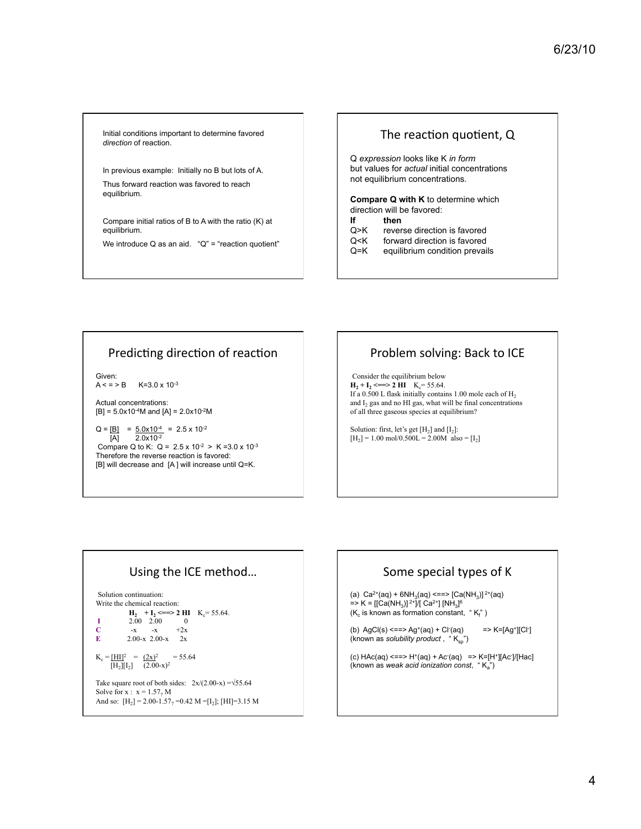Initial conditions important to determine favored *direction* of reaction.

In previous example: Initially no B but lots of A. Thus forward reaction was favored to reach equilibrium.

Compare initial ratios of B to A with the ratio (K) at equilibrium.

We introduce  $Q$  as an aid. " $Q$ " = "reaction quotient"

#### The reaction quotient, Q

Q *expression* looks like K *in form* but values for *actual* initial concentrations not equilibrium concentrations.

**Compare Q with K** to determine which direction will be favored:

#### **If then**

- Q>K reverse direction is favored
- Q<K forward direction is favored
- Q=K equilibrium condition prevails

#### Predicting direction of reaction

Given:<br> $A < P B$  $K = 3.0 \times 10^{-3}$ 

Actual concentrations:  $[B] = 5.0x10^{-4}M$  and  $[A] = 2.0x10^{-2}M$ 

 $Q = [B] = 5.0x10^{-4} = 2.5x10^{-2}$  $[A]$  2.0x10<sup>-2</sup> Compare Q to K: Q =  $2.5 \times 10^{-2}$  > K = 3.0 x 10<sup>-3</sup> Therefore the reverse reaction is favored: [B] will decrease and [A ] will increase until Q=K.

# Problem solving: Back to ICE

Consider the equilibrium below  $H_2 + I_2 \leq 2 H1 \quad K_c = 55.64.$ If a 0.500 L flask initially contains 1.00 mole each of  $H_2$ and  $I_2$  gas and no HI gas, what will be final concentrations of all three gaseous species at equilibrium?

Solution: first, let's get  $[H_2]$  and  $[I_2]$ :  $[H_2] = 1.00 \text{ mol}/0.500L = 2.00M \text{ also} = [I_2]$